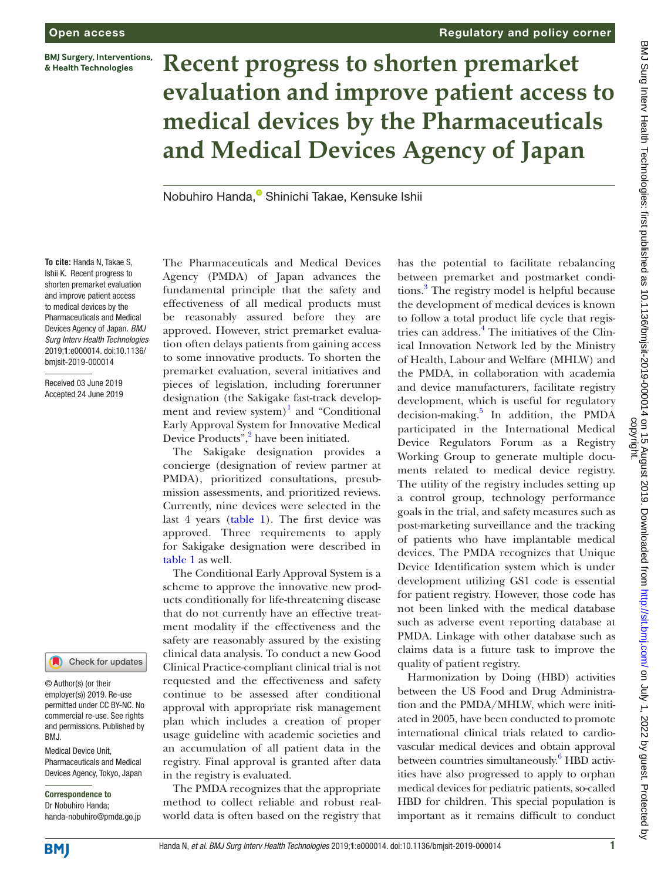**BMJ Surgery, Interventions,** & Health Technologies



# **Recent progress to shorten premarket evaluation and improve patient access to medical devices by the Pharmaceuticals and Medical Devices Agency of Japan**

Nobuhiro Handa.<sup>®</sup> Shinichi Takae, Kensuke Ishii

**To cite:** Handa N, Takae S, Ishii K. Recent progress to shorten premarket evaluation and improve patient access to medical devices by the Pharmaceuticals and Medical Devices Agency of Japan. *BMJ Surg Interv Health Technologies* 2019;1:e000014. doi:10.1136/ bmjsit-2019-000014

Received 03 June 2019 Accepted 24 June 2019

## (Check for updates

© Author(s) (or their employer(s)) 2019. Re-use permitted under CC BY-NC. No commercial re-use. See rights and permissions. Published by BMJ.

Medical Device Unit, Pharmaceuticals and Medical Devices Agency, Tokyo, Japan

Correspondence to Dr Nobuhiro Handa;

handa-nobuhiro@pmda.go.jp

The Pharmaceuticals and Medical Devices Agency (PMDA) of Japan advances the fundamental principle that the safety and effectiveness of all medical products must be reasonably assured before they are approved. However, strict premarket evaluation often delays patients from gaining access to some innovative products. To shorten the premarket evaluation, several initiatives and pieces of legislation, including forerunner designation (the Sakigake fast-track development and review system) $1$  and "Conditional Early Approval System for Innovative Medical Device Products",<sup>[2](#page-2-1)</sup> have been initiated.

The Sakigake designation provides a concierge (designation of review partner at PMDA), prioritized consultations, presubmission assessments, and prioritized reviews. Currently, nine devices were selected in the last 4 years ([table](#page-1-0) 1). The first device was approved. Three requirements to apply for Sakigake designation were described in [table](#page-1-0) 1 as well.

The Conditional Early Approval System is a scheme to approve the innovative new products conditionally for life-threatening disease that do not currently have an effective treatment modality if the effectiveness and the safety are reasonably assured by the existing clinical data analysis. To conduct a new Good Clinical Practice-compliant clinical trial is not requested and the effectiveness and safety continue to be assessed after conditional approval with appropriate risk management plan which includes a creation of proper usage guideline with academic societies and an accumulation of all patient data in the registry. Final approval is granted after data in the registry is evaluated.

The PMDA recognizes that the appropriate method to collect reliable and robust realworld data is often based on the registry that has the potential to facilitate rebalancing between premarket and postmarket conditions.<sup>3</sup> The registry model is helpful because the development of medical devices is known to follow a total product life cycle that regis-tries can address.<sup>[4](#page-2-3)</sup> The initiatives of the Clinical Innovation Network led by the Ministry of Health, Labour and Welfare (MHLW) and the PMDA, in collaboration with academia and device manufacturers, facilitate registry development, which is useful for regulatory decision-making.<sup>[5](#page-2-4)</sup> In addition, the PMDA participated in the International Medical Device Regulators Forum as a Registry Working Group to generate multiple documents related to medical device registry. The utility of the registry includes setting up a control group, technology performance goals in the trial, and safety measures such as post-marketing surveillance and the tracking of patients who have implantable medical devices. The PMDA recognizes that Unique Device Identification system which is under development utilizing GS1 code is essential for patient registry. However, those code has not been linked with the medical database such as adverse event reporting database at PMDA. Linkage with other database such as claims data is a future task to improve the quality of patient registry.

Harmonization by Doing (HBD) activities between the US Food and Drug Administration and the PMDA/MHLW, which were initiated in 2005, have been conducted to promote international clinical trials related to cardiovascular medical devices and obtain approval between countries simultaneously.<sup>[6](#page-2-5)</sup> HBD activities have also progressed to apply to orphan medical devices for pediatric patients, so-called HBD for children. This special population is important as it remains difficult to conduct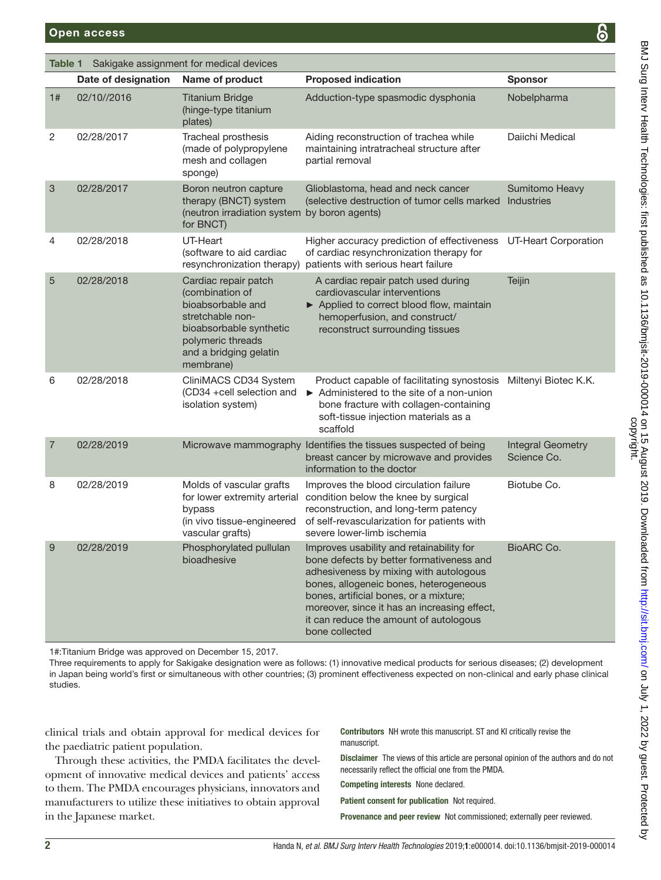<span id="page-1-0"></span>

| Sakigake assignment for medical devices<br>Table 1 |                     |                                                                                                                                                                         |                                                                                                                                                                                                                                                                                                                                |                                         |
|----------------------------------------------------|---------------------|-------------------------------------------------------------------------------------------------------------------------------------------------------------------------|--------------------------------------------------------------------------------------------------------------------------------------------------------------------------------------------------------------------------------------------------------------------------------------------------------------------------------|-----------------------------------------|
|                                                    | Date of designation | Name of product                                                                                                                                                         | <b>Proposed indication</b>                                                                                                                                                                                                                                                                                                     | <b>Sponsor</b>                          |
| 1#                                                 | 02/10//2016         | <b>Titanium Bridge</b><br>(hinge-type titanium<br>plates)                                                                                                               | Adduction-type spasmodic dysphonia                                                                                                                                                                                                                                                                                             | Nobelpharma                             |
| $\overline{c}$                                     | 02/28/2017          | Tracheal prosthesis<br>(made of polypropylene<br>mesh and collagen<br>sponge)                                                                                           | Aiding reconstruction of trachea while<br>maintaining intratracheal structure after<br>partial removal                                                                                                                                                                                                                         | Daiichi Medical                         |
| 3                                                  | 02/28/2017          | Boron neutron capture<br>therapy (BNCT) system<br>(neutron irradiation system<br>for BNCT)                                                                              | Glioblastoma, head and neck cancer<br>(selective destruction of tumor cells marked Industries<br>by boron agents)                                                                                                                                                                                                              | Sumitomo Heavy                          |
| 4                                                  | 02/28/2018          | UT-Heart<br>(software to aid cardiac<br>resynchronization therapy)                                                                                                      | Higher accuracy prediction of effectiveness UT-Heart Corporation<br>of cardiac resynchronization therapy for<br>patients with serious heart failure                                                                                                                                                                            |                                         |
| 5                                                  | 02/28/2018          | Cardiac repair patch<br>(combination of<br>bioabsorbable and<br>stretchable non-<br>bioabsorbable synthetic<br>polymeric threads<br>and a bridging gelatin<br>membrane) | A cardiac repair patch used during<br>cardiovascular interventions<br>Applied to correct blood flow, maintain<br>hemoperfusion, and construct/<br>reconstruct surrounding tissues                                                                                                                                              | Teijin                                  |
| 6                                                  | 02/28/2018          | CliniMACS CD34 System<br>(CD34 +cell selection and<br>isolation system)                                                                                                 | Product capable of facilitating synostosis Miltenyi Biotec K.K.<br>Administered to the site of a non-union<br>bone fracture with collagen-containing<br>soft-tissue injection materials as a<br>scaffold                                                                                                                       |                                         |
| $\overline{7}$                                     | 02/28/2019          |                                                                                                                                                                         | Microwave mammography Identifies the tissues suspected of being<br>breast cancer by microwave and provides<br>information to the doctor                                                                                                                                                                                        | <b>Integral Geometry</b><br>Science Co. |
| 8                                                  | 02/28/2019          | Molds of vascular grafts<br>for lower extremity arterial<br>bypass<br>(in vivo tissue-engineered<br>vascular grafts)                                                    | Improves the blood circulation failure<br>condition below the knee by surgical<br>reconstruction, and long-term patency<br>of self-revascularization for patients with<br>severe lower-limb ischemia                                                                                                                           | Biotube Co.                             |
| 9                                                  | 02/28/2019          | Phosphorylated pullulan<br>bioadhesive                                                                                                                                  | Improves usability and retainability for<br>bone defects by better formativeness and<br>adhesiveness by mixing with autologous<br>bones, allogeneic bones, heterogeneous<br>bones, artificial bones, or a mixture;<br>moreover, since it has an increasing effect,<br>it can reduce the amount of autologous<br>bone collected | BioARC Co.                              |

1#:Titanium Bridge was approved on December 15, 2017.

Three requirements to apply for Sakigake designation were as follows: (1) innovative medical products for serious diseases; (2) development in Japan being world's first or simultaneous with other countries; (3) prominent effectiveness expected on non-clinical and early phase clinical studies.

clinical trials and obtain approval for medical devices for the paediatric patient population.

Through these activities, the PMDA facilitates the development of innovative medical devices and patients' access to them. The PMDA encourages physicians, innovators and manufacturers to utilize these initiatives to obtain approval in the Japanese market.

Contributors NH wrote this manuscript. ST and KI critically revise the manuscript.

Disclaimer The views of this article are personal opinion of the authors and do not necessarily reflect the official one from the PMDA.

Competing interests None declared.

Patient consent for publication Not required.

Provenance and peer review Not commissioned; externally peer reviewed.